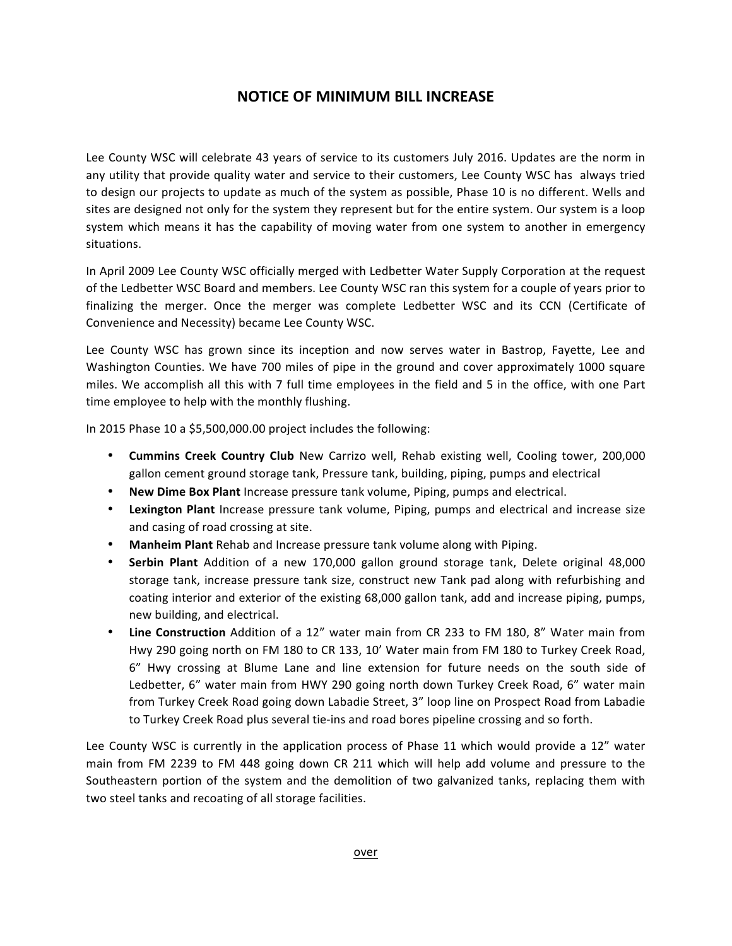## **NOTICE OF MINIMUM BILL INCREASE**

Lee County WSC will celebrate 43 years of service to its customers July 2016. Updates are the norm in any utility that provide quality water and service to their customers, Lee County WSC has always tried to design our projects to update as much of the system as possible, Phase 10 is no different. Wells and sites are designed not only for the system they represent but for the entire system. Our system is a loop system which means it has the capability of moving water from one system to another in emergency situations.

In April 2009 Lee County WSC officially merged with Ledbetter Water Supply Corporation at the request of the Ledbetter WSC Board and members. Lee County WSC ran this system for a couple of years prior to finalizing the merger. Once the merger was complete Ledbetter WSC and its CCN (Certificate of Convenience and Necessity) became Lee County WSC.

Lee County WSC has grown since its inception and now serves water in Bastrop, Fayette, Lee and Washington Counties. We have 700 miles of pipe in the ground and cover approximately 1000 square miles. We accomplish all this with 7 full time employees in the field and 5 in the office, with one Part time employee to help with the monthly flushing.

In 2015 Phase 10 a \$5,500,000.00 project includes the following:

- **Cummins Creek Country Club** New Carrizo well, Rehab existing well, Cooling tower, 200,000 gallon cement ground storage tank, Pressure tank, building, piping, pumps and electrical
- New Dime Box Plant Increase pressure tank volume, Piping, pumps and electrical.
- Lexington Plant Increase pressure tank volume, Piping, pumps and electrical and increase size and casing of road crossing at site.
- Manheim Plant Rehab and Increase pressure tank volume along with Piping.
- **Serbin Plant** Addition of a new 170,000 gallon ground storage tank, Delete original 48,000 storage tank, increase pressure tank size, construct new Tank pad along with refurbishing and coating interior and exterior of the existing 68,000 gallon tank, add and increase piping, pumps, new building, and electrical.
- Line Construction Addition of a 12" water main from CR 233 to FM 180, 8" Water main from Hwy 290 going north on FM 180 to CR 133, 10' Water main from FM 180 to Turkey Creek Road, 6" Hwy crossing at Blume Lane and line extension for future needs on the south side of Ledbetter, 6" water main from HWY 290 going north down Turkey Creek Road, 6" water main from Turkey Creek Road going down Labadie Street, 3" loop line on Prospect Road from Labadie to Turkey Creek Road plus several tie-ins and road bores pipeline crossing and so forth.

Lee County WSC is currently in the application process of Phase 11 which would provide a 12" water main from FM 2239 to FM 448 going down CR 211 which will help add volume and pressure to the Southeastern portion of the system and the demolition of two galvanized tanks, replacing them with two steel tanks and recoating of all storage facilities.